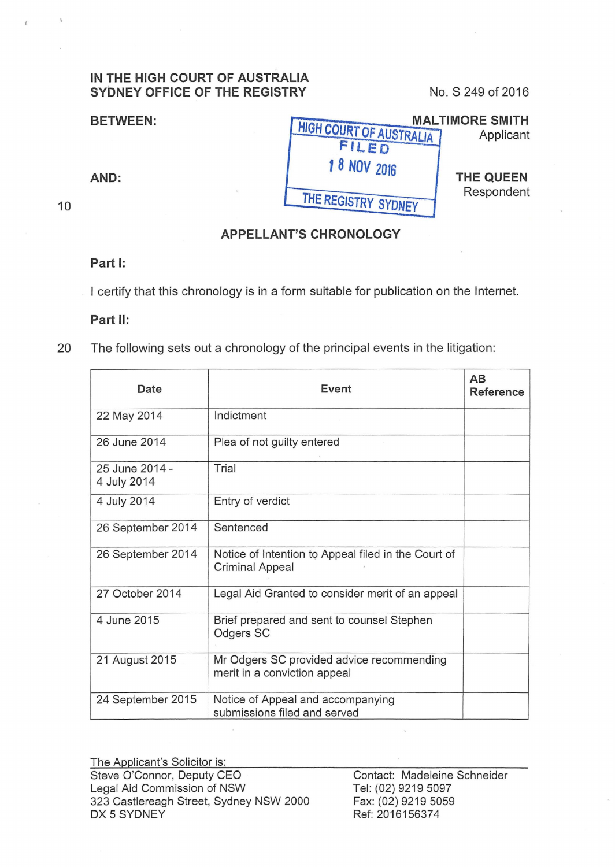## **IN THE HIGH COURT OF AUSTRALIA SYDNEY OFFICE OF THE REGISTRY** No. S 249 of 2016

| <b>BETWEEN:</b> |                                | <b>MALTIMORE SMITH</b>  |  |
|-----------------|--------------------------------|-------------------------|--|
|                 | <b>HIGH COURT OF AUSTRALIA</b> | Applicant               |  |
|                 | FILED                          |                         |  |
|                 | 1 8 NOV 2016                   |                         |  |
| AND:            |                                | THE QUEEN<br>Respondent |  |
|                 | THE REGISTRY SYDNEY            |                         |  |
|                 |                                |                         |  |
|                 |                                |                         |  |

## **APPELLANT'S CHRONOLOGY**

## **Part 1:**

10

I certify that this chronology is in a form suitable for publication on the Internet.

## **Part 11:**

20 The following sets out a chronology of the principal events in the litigation:

| Date                          | Event                                                                         | AB<br><b>Reference</b> |
|-------------------------------|-------------------------------------------------------------------------------|------------------------|
| 22 May 2014                   | Indictment                                                                    |                        |
| 26 June 2014                  | Plea of not guilty entered                                                    |                        |
| 25 June 2014 -<br>4 July 2014 | Trial                                                                         |                        |
| 4 July 2014                   | Entry of verdict                                                              |                        |
| 26 September 2014             | Sentenced                                                                     |                        |
| 26 September 2014             | Notice of Intention to Appeal filed in the Court of<br><b>Criminal Appeal</b> |                        |
| 27 October 2014               | Legal Aid Granted to consider merit of an appeal                              |                        |
| 4 June 2015                   | Brief prepared and sent to counsel Stephen<br>Odgers SC                       |                        |
| 21 August 2015                | Mr Odgers SC provided advice recommending<br>merit in a conviction appeal     |                        |
| 24 September 2015             | Notice of Appeal and accompanying<br>submissions filed and served             |                        |

The Applicant's Solicitor is: Steve O'Connor, Deputy CEO Legal Aid Commission of NSW 323 Castlereagh Street, Sydney NSW 2000 DX 5 SYDNEY

Contact: Madeleine Schneider Tel: (02) 9219 5097 Fax: (02) 9219 5059 Ref: 2016156374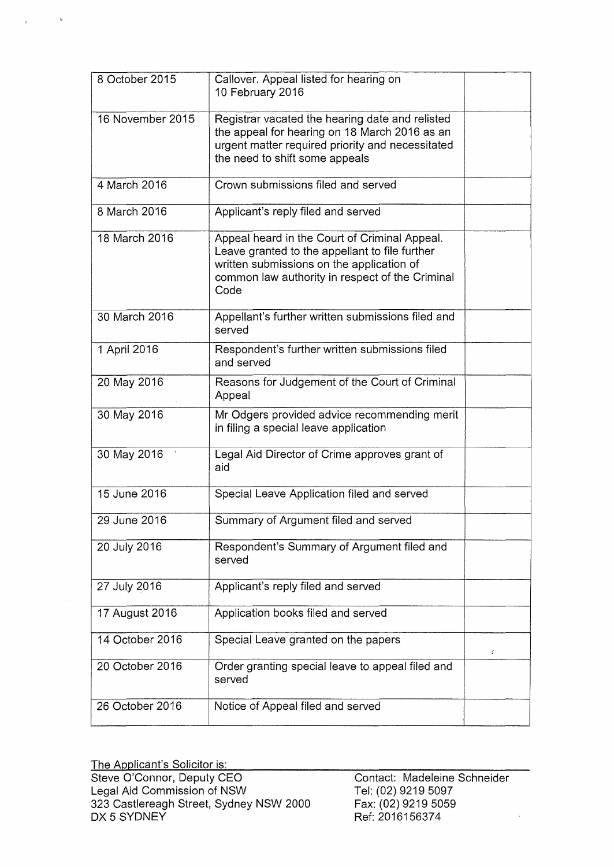| 8 October 2015   | Callover. Appeal listed for hearing on<br>10 February 2016                                                                                                                                              |   |
|------------------|---------------------------------------------------------------------------------------------------------------------------------------------------------------------------------------------------------|---|
| 16 November 2015 | Registrar vacated the hearing date and relisted<br>the appeal for hearing on 18 March 2016 as an<br>urgent matter required priority and necessitated<br>the need to shift some appeals                  |   |
| 4 March 2016     | Crown submissions filed and served                                                                                                                                                                      |   |
| 8 March 2016     | Applicant's reply filed and served                                                                                                                                                                      |   |
| 18 March 2016    | Appeal heard in the Court of Criminal Appeal.<br>Leave granted to the appellant to file further<br>written submissions on the application of<br>common law authority in respect of the Criminal<br>Code |   |
| 30 March 2016    | Appellant's further written submissions filed and<br>served                                                                                                                                             |   |
| 1 April 2016     | Respondent's further written submissions filed<br>and served                                                                                                                                            |   |
| 20 May 2016      | Reasons for Judgement of the Court of Criminal<br>Appeal                                                                                                                                                |   |
| 30 May 2016      | Mr Odgers provided advice recommending merit<br>in filing a special leave application                                                                                                                   |   |
| 30 May 2016      | Legal Aid Director of Crime approves grant of<br>aid                                                                                                                                                    |   |
| 15 June 2016     | Special Leave Application filed and served                                                                                                                                                              |   |
| 29 June 2016     | Summary of Argument filed and served                                                                                                                                                                    |   |
| 20 July 2016     | Respondent's Summary of Argument filed and<br>served                                                                                                                                                    |   |
| 27 July 2016     | Applicant's reply filed and served                                                                                                                                                                      |   |
| 17 August 2016   | Application books filed and served                                                                                                                                                                      |   |
| 14 October 2016  | Special Leave granted on the papers                                                                                                                                                                     | ¢ |
| 20 October 2016  | Order granting special leave to appeal filed and<br>served                                                                                                                                              |   |
| 26 October 2016  | Notice of Appeal filed and served                                                                                                                                                                       |   |

The Applicant's Solicitor is: Steve O'Connor, Deputy CEO Legal Aid Commission of NSW 323 Castlereagh Street, Sydney NSW 2000 DX 5 SYDNEY

 $\mathcal{A}_{\mathcal{R}}$ 

Contact: Madeleine Schneider Tel: (02) 9219 5097 Fax: (02) 9219 5059 Ref: 2016156374